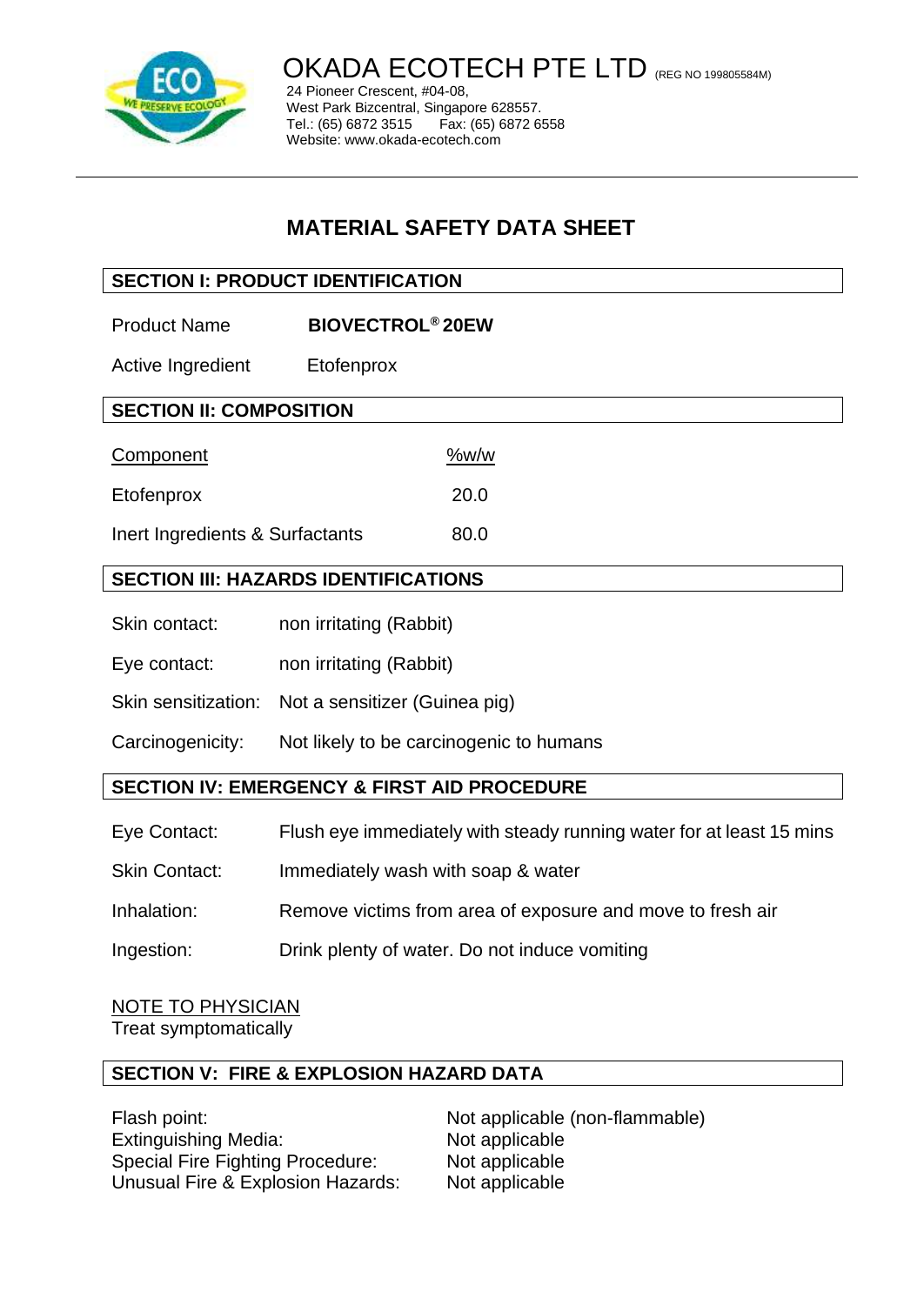

OKADA ECOTECH PTE LTD (REG NO 199805584M)

24 Pioneer Crescent, #04-08, West Park Bizcentral, Singapore 628557. Tel.: (65) 6872 3515 Fax: (65) 6872 6558 Website: www.okada-ecotech.com

# **MATERIAL SAFETY DATA SHEET**

# **SECTION I: PRODUCT IDENTIFICATION**

Product Name **BIOVECTROL® 20EW**

Active Ingredient Etofenprox

| Component                       | %w/w |
|---------------------------------|------|
| Etofenprox                      | 20.0 |
| Inert Ingredients & Surfactants | 80.0 |

# **SECTION III: HAZARDS IDENTIFICATIONS**

- Skin contact: non irritating (Rabbit)
- Eye contact: non irritating (Rabbit)
- Skin sensitization: Not a sensitizer (Guinea pig)

Carcinogenicity: Not likely to be carcinogenic to humans

### **SECTION IV: EMERGENCY & FIRST AID PROCEDURE**

- Eye Contact: Flush eye immediately with steady running water for at least 15 mins
- Skin Contact: Immediately wash with soap & water
- Inhalation: Remove victims from area of exposure and move to fresh air
- Ingestion: Drink plenty of water. Do not induce vomiting

NOTE TO PHYSICIAN Treat symptomatically

### **SECTION V: FIRE & EXPLOSION HAZARD DATA**

Flash point: Not applicable (non-flammable) Extinguishing Media: Not applicable Special Fire Fighting Procedure: Not applicable Unusual Fire & Explosion Hazards: Not applicable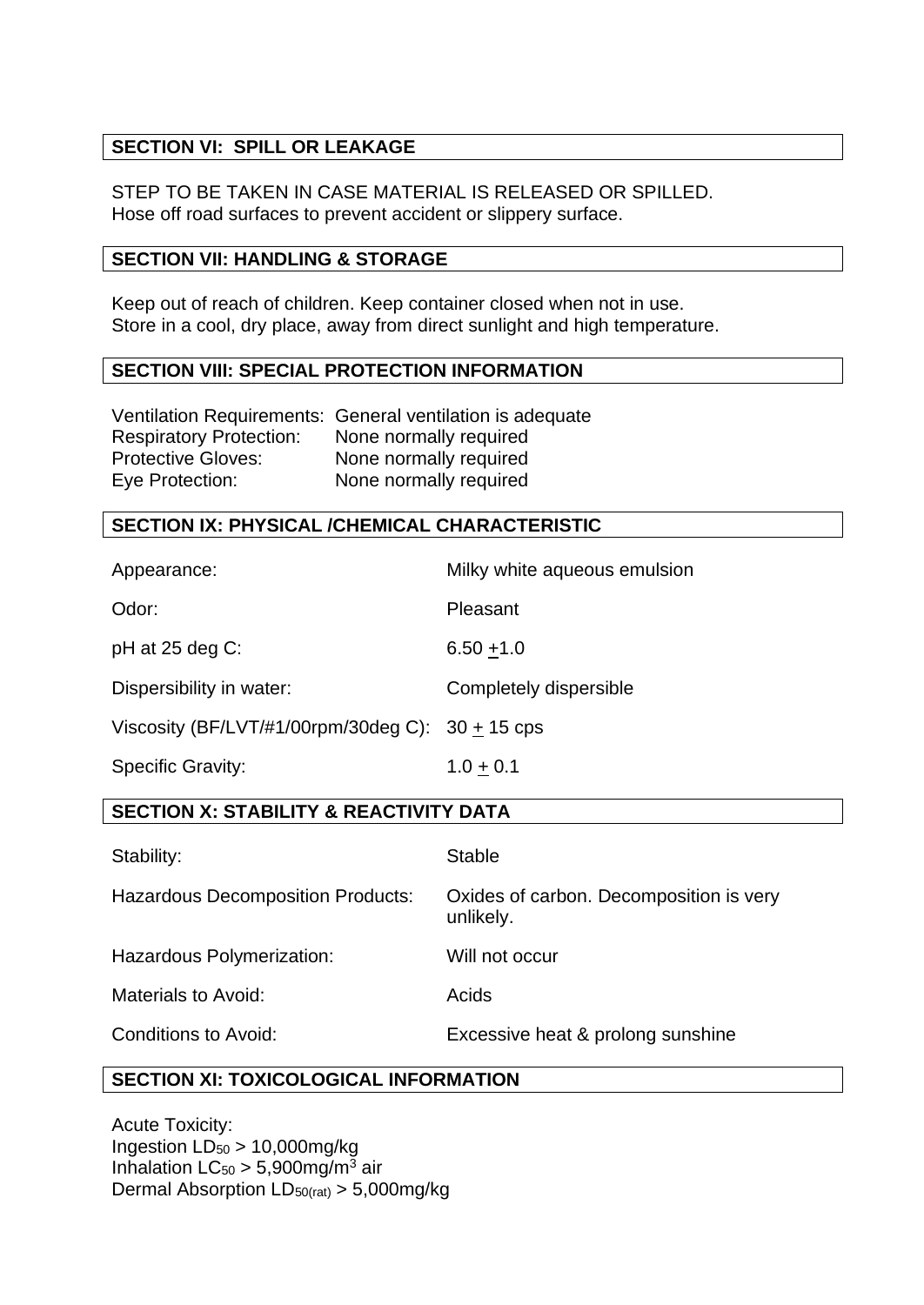# **SECTION VI: SPILL OR LEAKAGE**

STEP TO BE TAKEN IN CASE MATERIAL IS RELEASED OR SPILLED. Hose off road surfaces to prevent accident or slippery surface.

#### **SECTION VII: HANDLING & STORAGE**

Keep out of reach of children. Keep container closed when not in use. Store in a cool, dry place, away from direct sunlight and high temperature.

#### **SECTION VIII: SPECIAL PROTECTION INFORMATION**

|                                | Ventilation Requirements: General ventilation is adequate |
|--------------------------------|-----------------------------------------------------------|
| <b>Respiratory Protection:</b> | None normally required                                    |
| <b>Protective Gloves:</b>      | None normally required                                    |
| Eye Protection:                | None normally required                                    |

# **SECTION IX: PHYSICAL /CHEMICAL CHARACTERISTIC**

| <b>SECTION X: STABILITY &amp; REACTIVITY DATA</b>  |                              |  |
|----------------------------------------------------|------------------------------|--|
| <b>Specific Gravity:</b>                           | $1.0 + 0.1$                  |  |
| Viscosity (BF/LVT/#1/00rpm/30deg C): $30 + 15$ cps |                              |  |
| Dispersibility in water:                           | Completely dispersible       |  |
| $pH$ at 25 deg C:                                  | $6.50 + 1.0$                 |  |
| Odor:                                              | Pleasant                     |  |
| Appearance:                                        | Milky white aqueous emulsion |  |

| Stability:                               | Stable                                               |
|------------------------------------------|------------------------------------------------------|
| <b>Hazardous Decomposition Products:</b> | Oxides of carbon. Decomposition is very<br>unlikely. |
| Hazardous Polymerization:                | Will not occur                                       |
| Materials to Avoid:                      | Acids                                                |
| Conditions to Avoid:                     | Excessive heat & prolong sunshine                    |

# **SECTION XI: TOXICOLOGICAL INFORMATION**

Acute Toxicity: Ingestion  $LD_{50} > 10,000$ mg/kg Inhalation  $LC_{50} > 5,900$ mg/m<sup>3</sup> air Dermal Absorption LD50(rat) > 5,000mg/kg